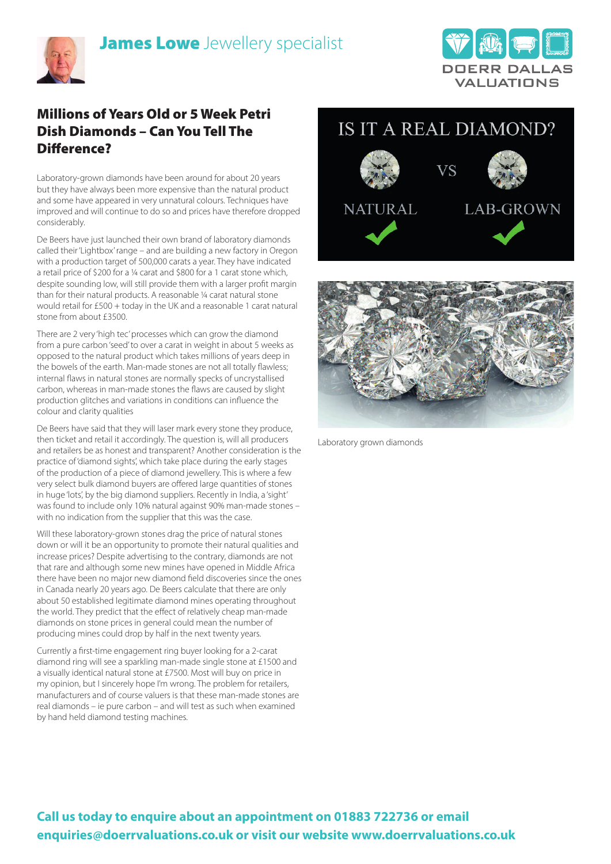



## Millions of Years Old or 5 Week Petri Dish Diamonds – Can You Tell The Difference?

Laboratory-grown diamonds have been around for about 20 years but they have always been more expensive than the natural product and some have appeared in very unnatural colours. Techniques have improved and will continue to do so and prices have therefore dropped considerably.

De Beers have just launched their own brand of laboratory diamonds called their 'Lightbox' range – and are building a new factory in Oregon with a production target of 500,000 carats a year. They have indicated a retail price of \$200 for a ¼ carat and \$800 for a 1 carat stone which, despite sounding low, will still provide them with a larger profit margin than for their natural products. A reasonable ¼ carat natural stone would retail for £500 + today in the UK and a reasonable 1 carat natural stone from about £3500.

There are 2 very 'high tec' processes which can grow the diamond from a pure carbon 'seed' to over a carat in weight in about 5 weeks as opposed to the natural product which takes millions of years deep in the bowels of the earth. Man-made stones are not all totally flawless; internal flaws in natural stones are normally specks of uncrystallised carbon, whereas in man-made stones the flaws are caused by slight production glitches and variations in conditions can influence the colour and clarity qualities

De Beers have said that they will laser mark every stone they produce, then ticket and retail it accordingly. The question is, will all producers and retailers be as honest and transparent? Another consideration is the practice of 'diamond sights', which take place during the early stages of the production of a piece of diamond jewellery. This is where a few very select bulk diamond buyers are offered large quantities of stones in huge 'lots', by the big diamond suppliers. Recently in India, a 'sight' was found to include only 10% natural against 90% man-made stones – with no indication from the supplier that this was the case.

Will these laboratory-grown stones drag the price of natural stones down or will it be an opportunity to promote their natural qualities and increase prices? Despite advertising to the contrary, diamonds are not that rare and although some new mines have opened in Middle Africa there have been no major new diamond field discoveries since the ones in Canada nearly 20 years ago. De Beers calculate that there are only about 50 established legitimate diamond mines operating throughout the world. They predict that the effect of relatively cheap man-made diamonds on stone prices in general could mean the number of producing mines could drop by half in the next twenty years.

Currently a first-time engagement ring buyer looking for a 2-carat diamond ring will see a sparkling man-made single stone at £1500 and a visually identical natural stone at £7500. Most will buy on price in my opinion, but I sincerely hope I'm wrong. The problem for retailers, manufacturers and of course valuers is that these man-made stones are real diamonds – ie pure carbon – and will test as such when examined by hand held diamond testing machines.

## IS IT A REAL DIAMOND?





Laboratory grown diamonds

## **Call us today to enquire about an appointment on 01883 722736 or email enquiries@doerrvaluations.co.uk or visit our website www.doerrvaluations.co.uk**